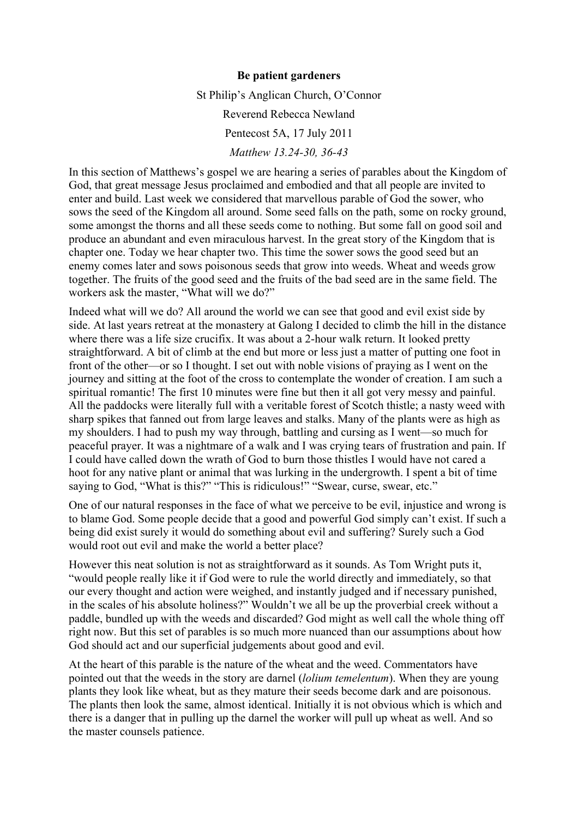## **Be patient gardeners**

St Philip's Anglican Church, O'Connor

Reverend Rebecca Newland

Pentecost 5A, 17 July 2011

*Matthew 13.24-30, 36-43*

In this section of Matthews's gospel we are hearing a series of parables about the Kingdom of God, that great message Jesus proclaimed and embodied and that all people are invited to enter and build. Last week we considered that marvellous parable of God the sower, who sows the seed of the Kingdom all around. Some seed falls on the path, some on rocky ground, some amongst the thorns and all these seeds come to nothing. But some fall on good soil and produce an abundant and even miraculous harvest. In the great story of the Kingdom that is chapter one. Today we hear chapter two. This time the sower sows the good seed but an enemy comes later and sows poisonous seeds that grow into weeds. Wheat and weeds grow together. The fruits of the good seed and the fruits of the bad seed are in the same field. The workers ask the master, "What will we do?"

Indeed what will we do? All around the world we can see that good and evil exist side by side. At last years retreat at the monastery at Galong I decided to climb the hill in the distance where there was a life size crucifix. It was about a 2-hour walk return. It looked pretty straightforward. A bit of climb at the end but more or less just a matter of putting one foot in front of the other—or so I thought. I set out with noble visions of praying as I went on the journey and sitting at the foot of the cross to contemplate the wonder of creation. I am such a spiritual romantic! The first 10 minutes were fine but then it all got very messy and painful. All the paddocks were literally full with a veritable forest of Scotch thistle; a nasty weed with sharp spikes that fanned out from large leaves and stalks. Many of the plants were as high as my shoulders. I had to push my way through, battling and cursing as I went—so much for peaceful prayer. It was a nightmare of a walk and I was crying tears of frustration and pain. If I could have called down the wrath of God to burn those thistles I would have not cared a hoot for any native plant or animal that was lurking in the undergrowth. I spent a bit of time saying to God, "What is this?" "This is ridiculous!" "Swear, curse, swear, etc."

One of our natural responses in the face of what we perceive to be evil, injustice and wrong is to blame God. Some people decide that a good and powerful God simply can't exist. If such a being did exist surely it would do something about evil and suffering? Surely such a God would root out evil and make the world a better place?

However this neat solution is not as straightforward as it sounds. As Tom Wright puts it, "would people really like it if God were to rule the world directly and immediately, so that our every thought and action were weighed, and instantly judged and if necessary punished, in the scales of his absolute holiness?" Wouldn't we all be up the proverbial creek without a paddle, bundled up with the weeds and discarded? God might as well call the whole thing off right now. But this set of parables is so much more nuanced than our assumptions about how God should act and our superficial judgements about good and evil.

At the heart of this parable is the nature of the wheat and the weed. Commentators have pointed out that the weeds in the story are darnel (*lolium temelentum*). When they are young plants they look like wheat, but as they mature their seeds become dark and are poisonous. The plants then look the same, almost identical. Initially it is not obvious which is which and there is a danger that in pulling up the darnel the worker will pull up wheat as well. And so the master counsels patience.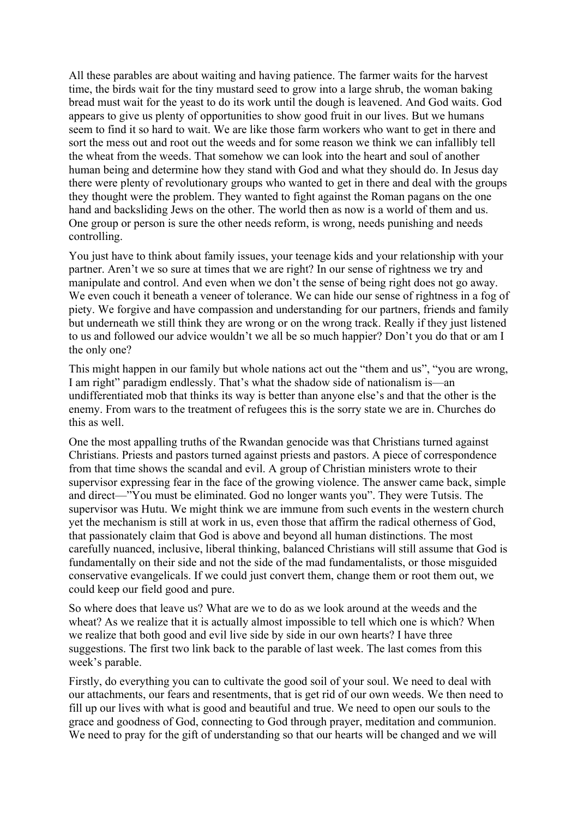All these parables are about waiting and having patience. The farmer waits for the harvest time, the birds wait for the tiny mustard seed to grow into a large shrub, the woman baking bread must wait for the yeast to do its work until the dough is leavened. And God waits. God appears to give us plenty of opportunities to show good fruit in our lives. But we humans seem to find it so hard to wait. We are like those farm workers who want to get in there and sort the mess out and root out the weeds and for some reason we think we can infallibly tell the wheat from the weeds. That somehow we can look into the heart and soul of another human being and determine how they stand with God and what they should do. In Jesus day there were plenty of revolutionary groups who wanted to get in there and deal with the groups they thought were the problem. They wanted to fight against the Roman pagans on the one hand and backsliding Jews on the other. The world then as now is a world of them and us. One group or person is sure the other needs reform, is wrong, needs punishing and needs controlling.

You just have to think about family issues, your teenage kids and your relationship with your partner. Aren't we so sure at times that we are right? In our sense of rightness we try and manipulate and control. And even when we don't the sense of being right does not go away. We even couch it beneath a veneer of tolerance. We can hide our sense of rightness in a fog of piety. We forgive and have compassion and understanding for our partners, friends and family but underneath we still think they are wrong or on the wrong track. Really if they just listened to us and followed our advice wouldn't we all be so much happier? Don't you do that or am I the only one?

This might happen in our family but whole nations act out the "them and us", "you are wrong, I am right" paradigm endlessly. That's what the shadow side of nationalism is—an undifferentiated mob that thinks its way is better than anyone else's and that the other is the enemy. From wars to the treatment of refugees this is the sorry state we are in. Churches do this as well.

One the most appalling truths of the Rwandan genocide was that Christians turned against Christians. Priests and pastors turned against priests and pastors. A piece of correspondence from that time shows the scandal and evil. A group of Christian ministers wrote to their supervisor expressing fear in the face of the growing violence. The answer came back, simple and direct—"You must be eliminated. God no longer wants you". They were Tutsis. The supervisor was Hutu. We might think we are immune from such events in the western church yet the mechanism is still at work in us, even those that affirm the radical otherness of God, that passionately claim that God is above and beyond all human distinctions. The most carefully nuanced, inclusive, liberal thinking, balanced Christians will still assume that God is fundamentally on their side and not the side of the mad fundamentalists, or those misguided conservative evangelicals. If we could just convert them, change them or root them out, we could keep our field good and pure.

So where does that leave us? What are we to do as we look around at the weeds and the wheat? As we realize that it is actually almost impossible to tell which one is which? When we realize that both good and evil live side by side in our own hearts? I have three suggestions. The first two link back to the parable of last week. The last comes from this week's parable.

Firstly, do everything you can to cultivate the good soil of your soul. We need to deal with our attachments, our fears and resentments, that is get rid of our own weeds. We then need to fill up our lives with what is good and beautiful and true. We need to open our souls to the grace and goodness of God, connecting to God through prayer, meditation and communion. We need to pray for the gift of understanding so that our hearts will be changed and we will